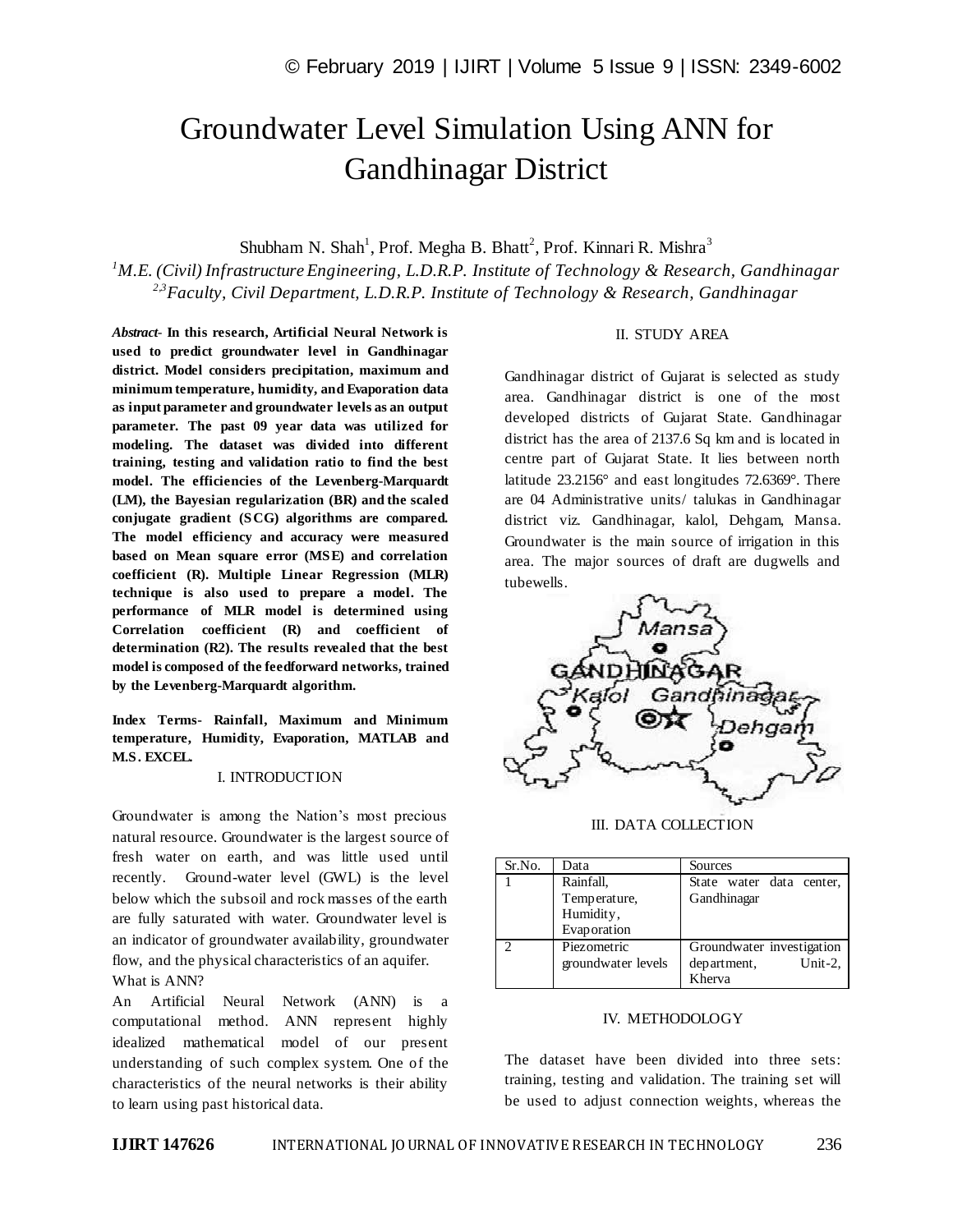# Groundwater Level Simulation Using ANN for Gandhinagar District

Shubham N. Shah<sup>1</sup>, Prof. Megha B. Bhatt<sup>2</sup>, Prof. Kinnari R. Mishra<sup>3</sup>

*<sup>1</sup>M.E. (Civil) Infrastructure Engineering, L.D.R.P. Institute of Technology & Research, Gandhinagar 2,3Faculty, Civil Department, L.D.R.P. Institute of Technology & Research, Gandhinagar*

*Abstract*- **In this research, Artificial Neural Network is used to predict groundwater level in Gandhinagar district. Model considers precipitation, maximum and minimum temperature, humidity, and Evaporation data as input parameter and groundwater levels as an output parameter. The past 09 year data was utilized for modeling. The dataset was divided into different training, testing and validation ratio to find the best model. The efficiencies of the Levenberg-Marquardt (LM), the Bayesian regularization (BR) and the scaled conjugate gradient (SCG) algorithms are compared. The model efficiency and accuracy were measured based on Mean square error (MSE) and correlation coefficient (R). Multiple Linear Regression (MLR) technique is also used to prepare a model. The performance of MLR model is determined using Correlation coefficient (R) and coefficient of determination (R2). The results revealed that the best model is composed of the feedforward networks, trained by the Levenberg-Marquardt algorithm.**

**Index Terms- Rainfall, Maximum and Minimum temperature, Humidity, Evaporation, MATLAB and M.S. EXCEL.**

#### I. INTRODUCTION

Groundwater is among the Nation's most precious natural resource. Groundwater is the largest source of fresh water on earth, and was little used until recently. Ground-water level (GWL) is the level below which the subsoil and rock masses of the earth are fully saturated with water. Groundwater level is an indicator of groundwater availability, groundwater flow, and the physical characteristics of an aquifer. What is ANN?

An Artificial Neural Network (ANN) is a computational method. ANN represent highly idealized mathematical model of our present understanding of such complex system. One of the characteristics of the neural networks is their ability to learn using past historical data.

#### II. STUDY AREA

Gandhinagar district of Gujarat is selected as study area. Gandhinagar district is one of the most developed districts of Gujarat State. Gandhinagar district has the area of 2137.6 Sq km and is located in centre part of Gujarat State. It lies between north latitude 23.2156° and east longitudes 72.6369°. There are 04 Administrative units/ talukas in Gandhinagar district viz. Gandhinagar, kalol, Dehgam, Mansa. Groundwater is the main source of irrigation in this area. The major sources of draft are dugwells and tubewells.



III. DATA COLLECTION

| Sr.No. | Data               | Sources                   |
|--------|--------------------|---------------------------|
|        | Rainfall,          | State water data center,  |
|        | Temperature,       | Gandhinagar               |
|        | Humidity,          |                           |
|        | Evaporation        |                           |
| ◠      | Piezometric        | Groundwater investigation |
|        | groundwater levels | Unit-2.<br>department,    |
|        |                    | Kherva                    |

#### IV. METHODOLOGY

The dataset have been divided into three sets: training, testing and validation. The training set will be used to adjust connection weights, whereas the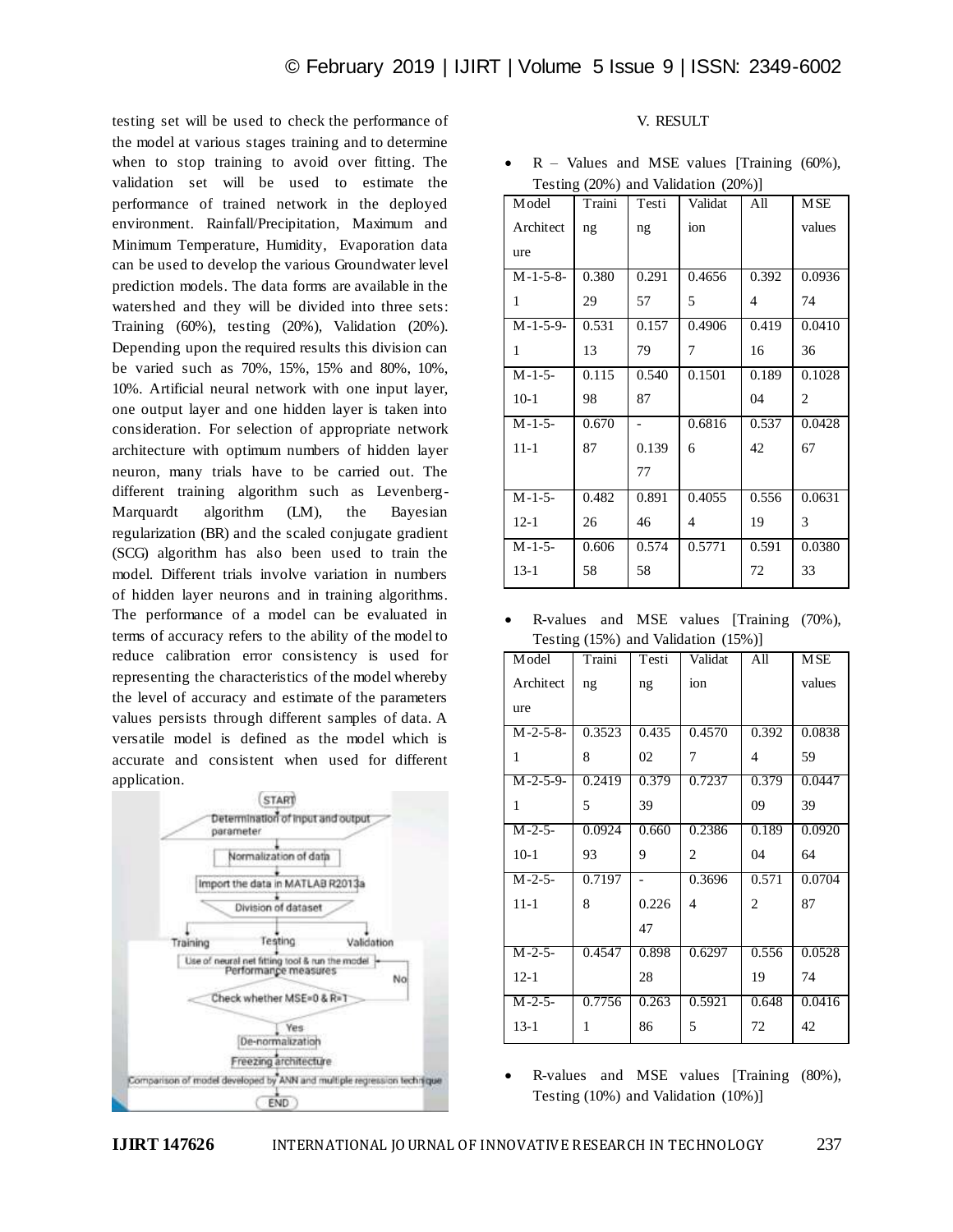testing set will be used to check the performance of the model at various stages training and to determine when to stop training to avoid over fitting. The validation set will be used to estimate the performance of trained network in the deployed environment. Rainfall/Precipitation, Maximum and Minimum Temperature, Humidity, Evaporation data can be used to develop the various Groundwater level prediction models. The data forms are available in the watershed and they will be divided into three sets: Training (60%), testing (20%), Validation (20%). Depending upon the required results this division can be varied such as 70%, 15%, 15% and 80%, 10%, 10%. Artificial neural network with one input layer, one output layer and one hidden layer is taken into consideration. For selection of appropriate network architecture with optimum numbers of hidden layer neuron, many trials have to be carried out. The different training algorithm such as Levenberg-Marquardt algorithm (LM), the Bayesian regularization (BR) and the scaled conjugate gradient (SCG) algorithm has also been used to train the model. Different trials involve variation in numbers of hidden layer neurons and in training algorithms. The performance of a model can be evaluated in terms of accuracy refers to the ability of the model to reduce calibration error consistency is used for representing the characteristics of the model whereby the level of accuracy and estimate of the parameters values persists through different samples of data. A versatile model is defined as the model which is accurate and consistent when used for different application.



### V. RESULT

•  $R$  – Values and MSE values [Training  $(60\%)$ , Testing (20%) and Validation (20%)]

| M odel     | Traini | Testi          | Validat | All                      | <b>MSE</b> |
|------------|--------|----------------|---------|--------------------------|------------|
| Architect  | ng     | ng             | ion     |                          | values     |
| ure        |        |                |         |                          |            |
| $M-1-5-8-$ | 0.380  | 0.291          | 0.4656  | 0.392                    | 0.0936     |
| 1          | 29     | 57             | 5       | $\overline{\mathcal{A}}$ | 74         |
| $M-1-5-9-$ | 0.531  | 0.157          | 0.4906  | 0.419                    | 0.0410     |
| 1          | 13     | 79             | 7       | 16                       | 36         |
| $M-1-5-$   | 0.115  | 0.540          | 0.1501  | 0.189                    | 0.1028     |
| $10-1$     | 98     | 87             |         | 04                       | 2          |
| $M-1-5-$   | 0.670  | $\overline{a}$ | 0.6816  | 0.537                    | 0.0428     |
| $11 - 1$   | 87     | 0.139          | 6       | 42                       | 67         |
|            |        | 77             |         |                          |            |
| $M-1-5-$   | 0.482  | 0.891          | 0.4055  | 0.556                    | 0.0631     |
| $12 - 1$   | 26     | 46             | 4       | 19                       | 3          |
| $M-1-5-$   | 0.606  | 0.574          | 0.5771  | 0.591                    | 0.0380     |
| $13-1$     | 58     | 58             |         | 72                       | 33         |

 R-values and MSE values [Training (70%), Testing (15%) and Validation (15%)]

| Model             | Traini | Testi          | Validat        | All            | <b>MSE</b> |
|-------------------|--------|----------------|----------------|----------------|------------|
| Architect         | ng     | ng             | ion            |                | values     |
| ure               |        |                |                |                |            |
| $M-2-5-8-$        | 0.3523 | 0.435          | 0.4570         | 0.392          | 0.0838     |
| 1                 | 8      | 02             | 7              | $\overline{4}$ | 59         |
| $M - 2 - 5 - 9 -$ | 0.2419 | 0.379          | 0.7237         | 0.379          | 0.0447     |
| 1                 | 5      | 39             |                | 09             | 39         |
| $M-2-5-$          | 0.0924 | 0.660          | 0.2386         | 0.189          | 0.0920     |
| $10-1$            | 93     | 9              | 2              | 04             | 64         |
| $M - 2 - 5 -$     | 0.7197 | $\overline{a}$ | 0.3696         | 0.571          | 0.0704     |
| $11 - 1$          | 8      | 0.226          | $\overline{4}$ | 2              | 87         |
|                   |        | 47             |                |                |            |
| $M - 2 - 5 -$     | 0.4547 | 0.898          | 0.6297         | 0.556          | 0.0528     |
| $12 - 1$          |        | 28             |                | 19             | 74         |
| $M - 2 - 5 -$     | 0.7756 | 0.263          | 0.5921         | 0.648          | 0.0416     |
| $13 - 1$          | 1      | 86             | 5              | 72             | 42         |

 R-values and MSE values [Training (80%), Testing (10%) and Validation (10%)]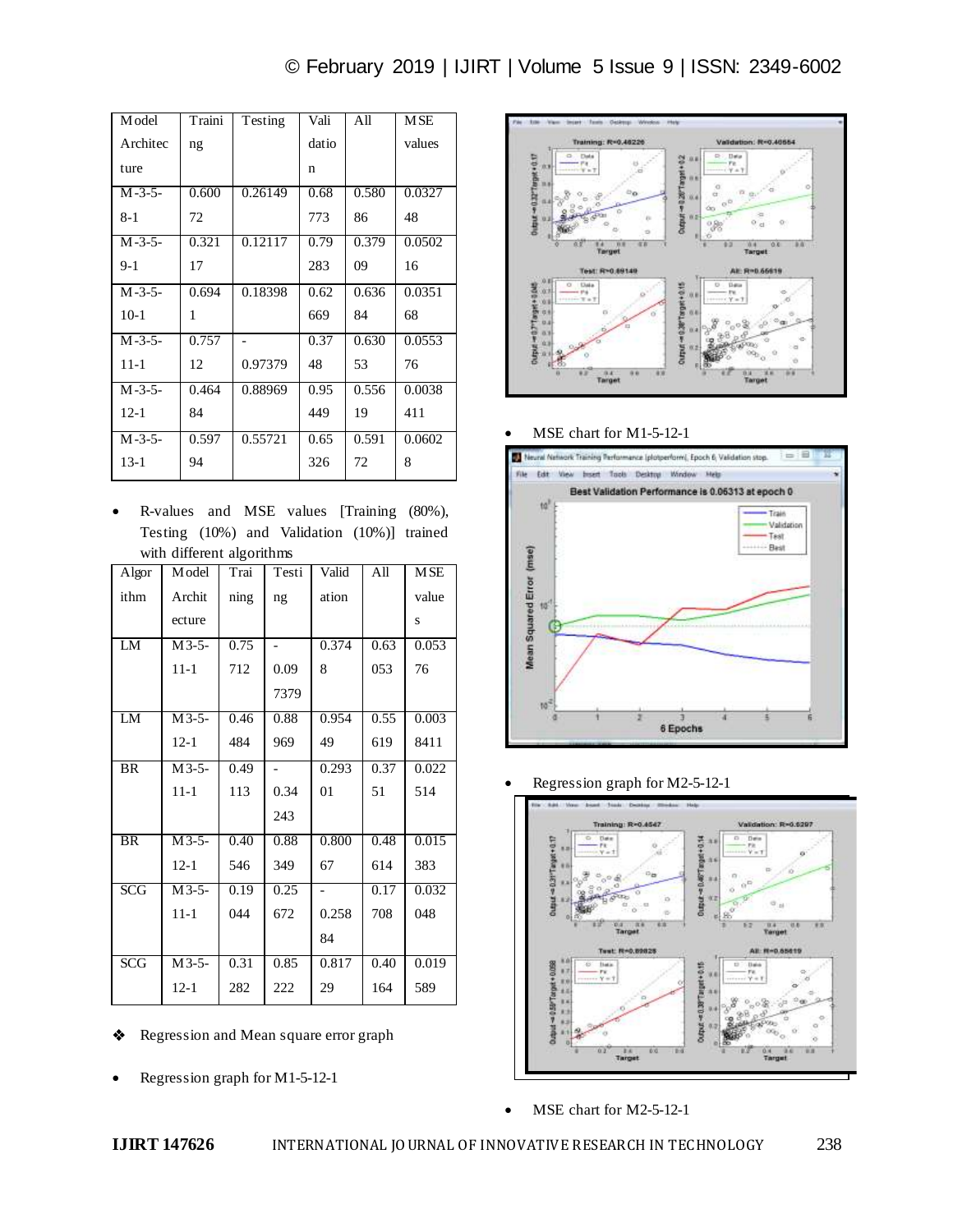| © February 2019   IJIRT   Volume 5 Issue 9   ISSN: 2349-6002 |  |  |  |
|--------------------------------------------------------------|--|--|--|
|--------------------------------------------------------------|--|--|--|

| M odel        | Traini | Testing | Vali  | All   | <b>MSE</b> |
|---------------|--------|---------|-------|-------|------------|
| Architec      | ng     |         | datio |       | values     |
| ture          |        |         | n     |       |            |
| $M - 3 - 5 -$ | 0.600  | 0.26149 | 0.68  | 0.580 | 0.0327     |
| 8-1           | 72     |         | 773   | 86    | 48         |
| $M - 3 - 5 -$ | 0.321  | 0.12117 | 0.79  | 0.379 | 0.0502     |
| $9-1$         | 17     |         | 283   | 09    | 16         |
| $M - 3 - 5 -$ | 0.694  | 0.18398 | 0.62  | 0.636 | 0.0351     |
| $10-1$        | 1      |         | 669   | 84    | 68         |
| $M - 3 - 5 -$ | 0.757  |         | 0.37  | 0.630 | 0.0553     |
| $11 - 1$      | 12     | 0.97379 | 48    | 53    | 76         |
| $M - 3 - 5 -$ | 0.464  | 0.88969 | 0.95  | 0.556 | 0.0038     |
| $12 - 1$      | 84     |         | 449   | 19    | 411        |
| $M - 3 - 5 -$ | 0.597  | 0.55721 | 0.65  | 0.591 | 0.0602     |
| $13-1$        | 94     |         | 326   | 72    | 8          |

 R-values and MSE values [Training (80%), Testing (10%) and Validation (10%)] trained with different algorithms

| Algor      | Model    | Trai | Testi | Valid | All  | <b>MSE</b> |
|------------|----------|------|-------|-------|------|------------|
| ithm       | Archit   | ning | ng    | ation |      | value      |
|            | ecture   |      |       |       |      | S          |
| LM         | $M3-5-$  | 0.75 |       | 0.374 | 0.63 | 0.053      |
|            | $11 - 1$ | 712  | 0.09  | 8     | 053  | 76         |
|            |          |      | 7379  |       |      |            |
| LM         | $M3-5-$  | 0.46 | 0.88  | 0.954 | 0.55 | 0.003      |
|            | $12 - 1$ | 484  | 969   | 49    | 619  | 8411       |
| <b>BR</b>  | $M3-5-$  | 0.49 |       | 0.293 | 0.37 | 0.022      |
|            | $11 - 1$ | 113  | 0.34  | 01    | 51   | 514        |
|            |          |      | 243   |       |      |            |
| <b>BR</b>  | $M3-5-$  | 0.40 | 0.88  | 0.800 | 0.48 | 0.015      |
|            | $12 - 1$ | 546  | 349   | 67    | 614  | 383        |
| SCG        | $M3-5-$  | 0.19 | 0.25  |       | 0.17 | 0.032      |
|            | $11 - 1$ | 044  | 672   | 0.258 | 708  | 048        |
|            |          |      |       | 84    |      |            |
| <b>SCG</b> | $M3-5-$  | 0.31 | 0.85  | 0.817 | 0.40 | 0.019      |
|            | $12 - 1$ | 282  | 222   | 29    | 164  | 589        |

- Regression and Mean square error graph
- Regression graph for M1-5-12-1



MSE chart for M1-5-12-1



Regression graph for M2-5-12-1



• MSE chart for M2-5-12-1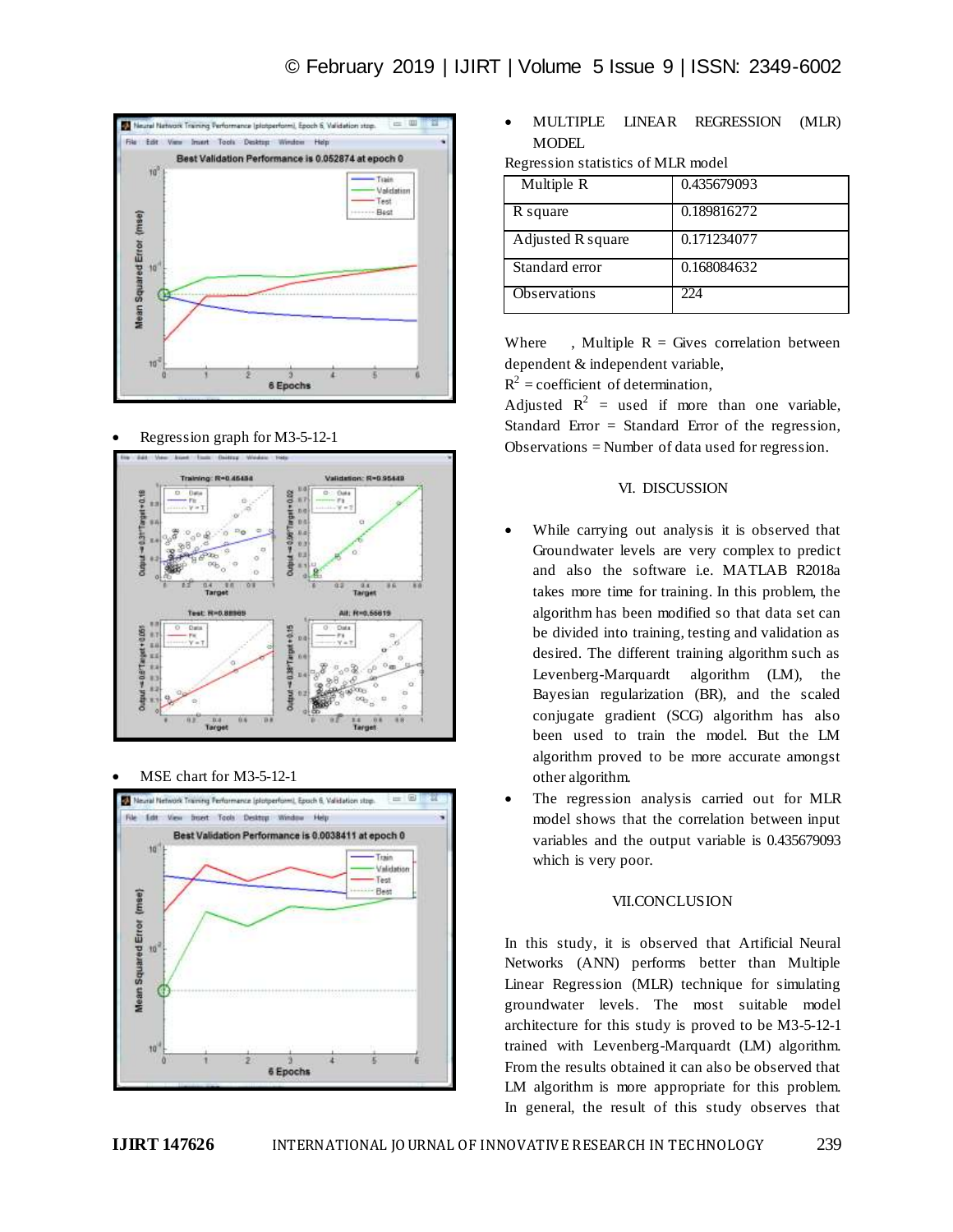

Regression graph for M3-5-12-1



MSE chart for M3-5-12-1



 MULTIPLE LINEAR REGRESSION (MLR) **MODEL** 

|  | Regression statistics of MLR model |  |  |  |
|--|------------------------------------|--|--|--|
|--|------------------------------------|--|--|--|

| Multiple R        | 0.435679093 |
|-------------------|-------------|
| R square          | 0.189816272 |
| Adjusted R square | 0.171234077 |
| Standard error    | 0.168084632 |
| Observations      | 224         |

Where , Multiple  $R =$  Gives correlation between dependent & independent variable,

 $R^2$  = coefficient of determination,

Adjusted  $R^2$  = used if more than one variable, Standard Error  $=$  Standard Error of the regression, Observations = Number of data used for regression.

## VI. DISCUSSION

- While carrying out analysis it is observed that Groundwater levels are very complex to predict and also the software i.e. MATLAB R2018a takes more time for training. In this problem, the algorithm has been modified so that data set can be divided into training, testing and validation as desired. The different training algorithm such as Levenberg-Marquardt algorithm (LM), the Bayesian regularization (BR), and the scaled conjugate gradient (SCG) algorithm has also been used to train the model. But the LM algorithm proved to be more accurate amongst other algorithm.
- The regression analysis carried out for MLR model shows that the correlation between input variables and the output variable is 0.435679093 which is very poor.

#### VII.CONCLUSION

In this study, it is observed that Artificial Neural Networks (ANN) performs better than Multiple Linear Regression (MLR) technique for simulating groundwater levels. The most suitable model architecture for this study is proved to be M3-5-12-1 trained with Levenberg-Marquardt (LM) algorithm. From the results obtained it can also be observed that LM algorithm is more appropriate for this problem. In general, the result of this study observes that